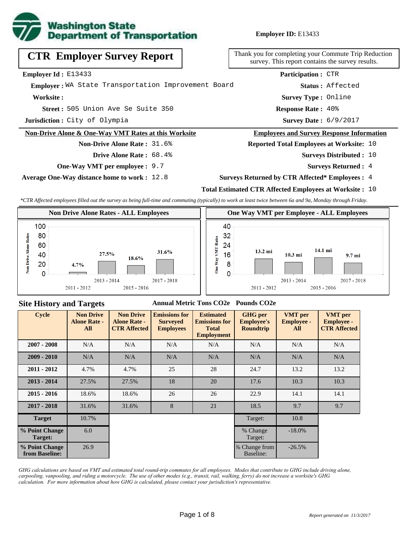

**Employer ID:** E13433

| <b>CTR Employer Survey Report</b>                               | Thank you for completing your Commute Tri<br>survey. This report contains the survey |
|-----------------------------------------------------------------|--------------------------------------------------------------------------------------|
| <b>Employer Id:</b> $E13433$                                    | <b>Participation: CTR</b>                                                            |
| Emplover: WA State Transportation Improvement Board             | Status: Affected                                                                     |
| Worksite:                                                       | <b>Survey Type: Online</b>                                                           |
| Street: 505 Union Ave Se Suite 350                              | <b>Response Rate: 40%</b>                                                            |
| Jurisdiction: City of Olympia                                   | Survey Date: 6/9/2017                                                                |
| <b>Non-Drive Alone &amp; One-Way VMT Rates at this Worksite</b> | <b>Employees and Survey Response Inf</b>                                             |
| <b>Non-Drive Alone Rate: 31.6%</b>                              | <b>Reported Total Employees at Worksit</b>                                           |
| Drive Alone Rate: 68.4%                                         | <b>Surveys Distributed</b>                                                           |

**One-Way VMT per employee :** 9.7

**Average One-Way distance home to work :** 12.8

npleting your Commute Trip Reduction report contains the survey results.

#### **Example 3 and Survey Response Information**

**Reports Reports Reports Reports Reports Reports Reports Reports Reports Reports Reports Reports Reports Reports Reports Reports Reports Reports Reports Reports Reports Reports R** 

- Surveys Distributed : 10
	- **Surveys Returned :** 4

### **Surveys Returned by CTR Affected\* Employees :** 4

### **Total Estimated CTR Affected Employees at Worksite :** 10

*\*CTR Affected employees filled out the survey as being full-time and commuting (typically) to work at least twice between 6a and 9a, Monday through Friday.*



### **Site History and Targets**

## **Annual Metric Tons CO2e Pounds CO2e**

| <b>Cycle</b>                     | <b>Non Drive</b><br><b>Alone Rate -</b><br>All | <b>Non Drive</b><br><b>Alone Rate -</b><br><b>CTR Affected</b> | <b>Emissions for</b><br><b>Surveyed</b><br><b>Employees</b> | <b>Estimated</b><br><b>Emissions for</b><br><b>Total</b><br><b>Employment</b> | <b>GHG</b> per<br><b>Employee's</b><br><b>Roundtrip</b> | <b>VMT</b> per<br><b>Employee -</b><br>All | <b>VMT</b> per<br><b>Employee -</b><br><b>CTR Affected</b> |
|----------------------------------|------------------------------------------------|----------------------------------------------------------------|-------------------------------------------------------------|-------------------------------------------------------------------------------|---------------------------------------------------------|--------------------------------------------|------------------------------------------------------------|
| $2007 - 2008$                    | N/A                                            | N/A<br>N/A<br>N/A                                              |                                                             |                                                                               | N/A                                                     | N/A                                        | N/A                                                        |
| $2009 - 2010$                    | N/A                                            | N/A                                                            | N/A                                                         | N/A                                                                           | N/A                                                     | N/A                                        | N/A                                                        |
| $2011 - 2012$                    | 4.7%                                           | 4.7%                                                           | 25                                                          | 28                                                                            | 24.7                                                    | 13.2                                       | 13.2                                                       |
| $2013 - 2014$                    | 27.5%                                          | 27.5%                                                          | 18                                                          | 20                                                                            | 17.6                                                    | 10.3                                       | 10.3                                                       |
| $2015 - 2016$                    | 18.6%                                          | 18.6%                                                          | 26                                                          | 26                                                                            | 22.9                                                    | 14.1                                       | 14.1                                                       |
| $2017 - 2018$                    | 31.6%                                          | 31.6%                                                          | 8                                                           | 21                                                                            | 18.5                                                    | 9.7                                        | 9.7                                                        |
| <b>Target</b>                    | 10.7%                                          |                                                                |                                                             |                                                                               | Target:                                                 | 10.8                                       |                                                            |
| % Point Change<br>Target:        | 6.0                                            |                                                                |                                                             |                                                                               | % Change<br>Target:                                     | $-18.0\%$                                  |                                                            |
| % Point Change<br>from Baseline: | 26.9                                           |                                                                |                                                             |                                                                               | % Change from<br>Baseline:                              | $-26.5%$                                   |                                                            |

*GHG calculations are based on VMT and estimated total round-trip commutes for all employees. Modes that contribute to GHG include driving alone, carpooling, vanpooling, and riding a motorcycle. The use of other modes (e.g., transit, rail, walking, ferry) do not increase a worksite's GHG calculation. For more information about how GHG is calculated, please contact your jurisdiction's representative.*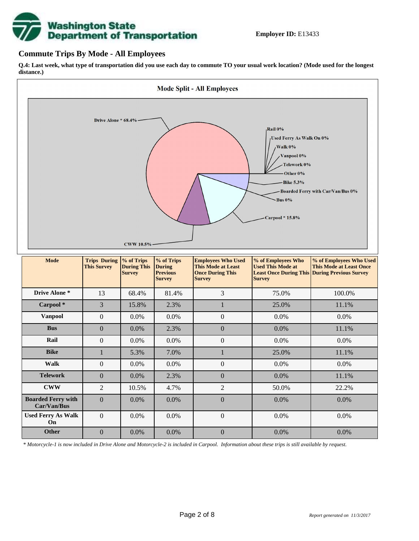

## **Commute Trips By Mode - All Employees**

**Q.4: Last week, what type of transportation did you use each day to commute TO your usual work location? (Mode used for the longest distance.)**



*\* Motorcycle-1 is now included in Drive Alone and Motorcycle-2 is included in Carpool. Information about these trips is still available by request.*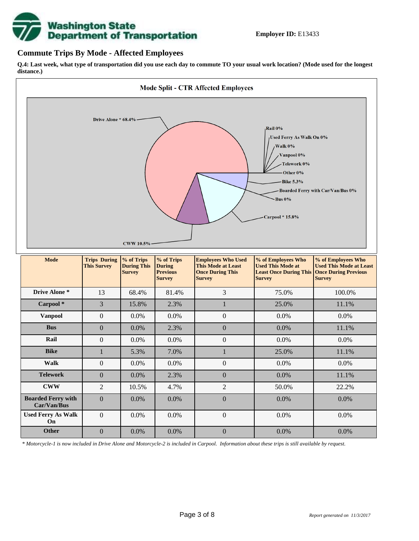

## **Commute Trips By Mode - Affected Employees**

**Q.4: Last week, what type of transportation did you use each day to commute TO your usual work location? (Mode used for the longest distance.)**



*\* Motorcycle-1 is now included in Drive Alone and Motorcycle-2 is included in Carpool. Information about these trips is still available by request.*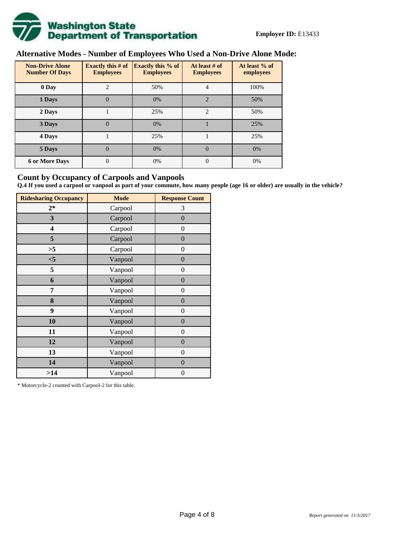

# **Alternative Modes - Number of Employees Who Used a Non-Drive Alone Mode:**

| <b>Non-Drive Alone</b><br><b>Number Of Days</b> | <b>Exactly this # of</b><br><b>Employees</b> | <b>Exactly this % of</b><br><b>Employees</b> | At least # of<br><b>Employees</b> | At least % of<br>employees |
|-------------------------------------------------|----------------------------------------------|----------------------------------------------|-----------------------------------|----------------------------|
| 0 Day                                           | $\overline{c}$                               | 50%                                          | 4                                 | 100%                       |
| 1 Days                                          | $\overline{0}$                               | 0%                                           | $\overline{2}$                    | 50%                        |
| 2 Days                                          |                                              | 25%                                          | $\mathcal{D}_{\mathcal{L}}$       | 50%                        |
| 3 Days                                          | $\theta$                                     | 0%                                           |                                   | 25%                        |
| 4 Days                                          |                                              | 25%                                          |                                   | 25%                        |
| 5 Days                                          | 0                                            | 0%                                           | $\theta$                          | 0%                         |
| <b>6 or More Days</b>                           | 0                                            | 0%                                           | $\Omega$                          | 0%                         |

## **Count by Occupancy of Carpools and Vanpools**

**Q.4 If you used a carpool or vanpool as part of your commute, how many people (age 16 or older) are usually in the vehicle?**

| <b>Ridesharing Occupancy</b> | <b>Mode</b> | <b>Response Count</b> |
|------------------------------|-------------|-----------------------|
| $2*$                         | Carpool     | 3                     |
| 3                            | Carpool     | $\boldsymbol{0}$      |
| 4                            | Carpool     | $\theta$              |
| 5                            | Carpool     | $\overline{0}$        |
| >5                           | Carpool     | $\overline{0}$        |
| $<$ 5                        | Vanpool     | $\overline{0}$        |
| 5                            | Vanpool     | $\overline{0}$        |
| 6                            | Vanpool     | $\boldsymbol{0}$      |
| 7                            | Vanpool     | $\overline{0}$        |
| 8                            | Vanpool     | $\overline{0}$        |
| 9                            | Vanpool     | $\overline{0}$        |
| 10                           | Vanpool     | $\overline{0}$        |
| 11                           | Vanpool     | $\overline{0}$        |
| 12                           | Vanpool     | $\boldsymbol{0}$      |
| 13                           | Vanpool     | $\boldsymbol{0}$      |
| 14                           | Vanpool     | $\overline{0}$        |
| >14                          | Vanpool     | $\boldsymbol{0}$      |

\* Motorcycle-2 counted with Carpool-2 for this table.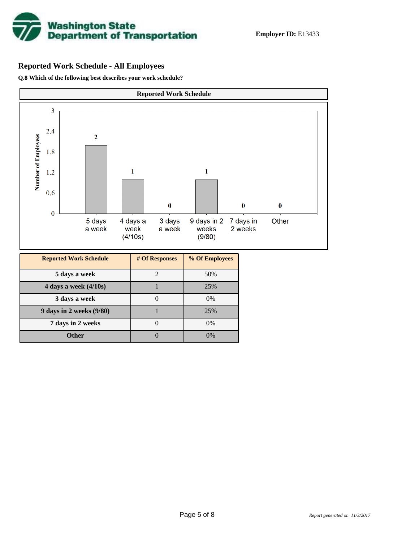

## **Reported Work Schedule - All Employees**

**Q.8 Which of the following best describes your work schedule?**

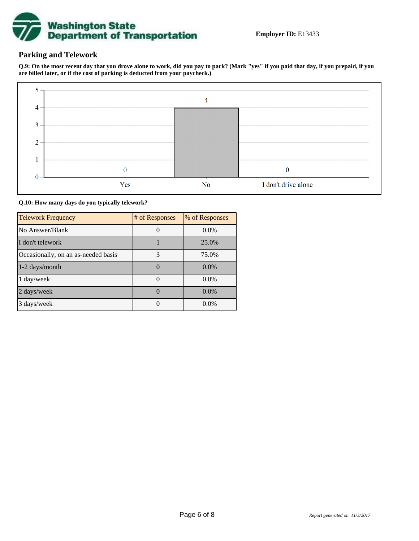

## **Parking and Telework**

**Q.9: On the most recent day that you drove alone to work, did you pay to park? (Mark "yes" if you paid that day, if you prepaid, if you are billed later, or if the cost of parking is deducted from your paycheck.)**



### **Q.10: How many days do you typically telework?**

| <b>Telework Frequency</b>           | # of Responses | % of Responses |
|-------------------------------------|----------------|----------------|
| No Answer/Blank                     |                | $0.0\%$        |
| I don't telework                    |                | 25.0%          |
| Occasionally, on an as-needed basis | 3              | 75.0%          |
| $1-2$ days/month                    |                | $0.0\%$        |
| 1 day/week                          |                | $0.0\%$        |
| 2 days/week                         |                | $0.0\%$        |
| 3 days/week                         |                | $0.0\%$        |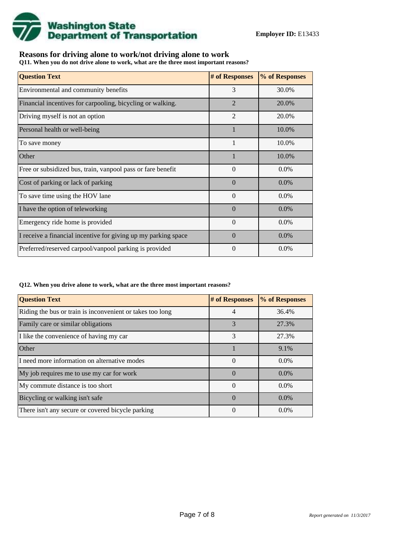

## **Reasons for driving alone to work/not driving alone to work**

**Q11. When you do not drive alone to work, what are the three most important reasons?**

| <b>Question Text</b>                                           | # of Responses | % of Responses |
|----------------------------------------------------------------|----------------|----------------|
| Environmental and community benefits                           | 3              | 30.0%          |
| Financial incentives for carpooling, bicycling or walking.     | $\overline{2}$ | 20.0%          |
| Driving myself is not an option                                | $\overline{2}$ | 20.0%          |
| Personal health or well-being                                  | 1              | 10.0%          |
| To save money                                                  | 1              | 10.0%          |
| Other                                                          |                | 10.0%          |
| Free or subsidized bus, train, vanpool pass or fare benefit    | $\Omega$       | $0.0\%$        |
| Cost of parking or lack of parking                             | $\Omega$       | $0.0\%$        |
| To save time using the HOV lane                                | $\theta$       | $0.0\%$        |
| I have the option of teleworking                               | $\Omega$       | $0.0\%$        |
| Emergency ride home is provided                                | $\Omega$       | $0.0\%$        |
| I receive a financial incentive for giving up my parking space | $\Omega$       | $0.0\%$        |
| Preferred/reserved carpool/vanpool parking is provided         | $\Omega$       | $0.0\%$        |

#### **Q12. When you drive alone to work, what are the three most important reasons?**

| <b>Question Text</b>                                      | # of Responses | % of Responses |
|-----------------------------------------------------------|----------------|----------------|
| Riding the bus or train is inconvenient or takes too long | 4              | 36.4%          |
| Family care or similar obligations                        | 3              | 27.3%          |
| I like the convenience of having my car                   | 3              | 27.3%          |
| Other                                                     |                | 9.1%           |
| I need more information on alternative modes              | $\theta$       | $0.0\%$        |
| My job requires me to use my car for work                 | $\Omega$       | $0.0\%$        |
| My commute distance is too short                          | $\Omega$       | $0.0\%$        |
| Bicycling or walking isn't safe                           | $\Omega$       | $0.0\%$        |
| There isn't any secure or covered bicycle parking         | $\Omega$       | $0.0\%$        |